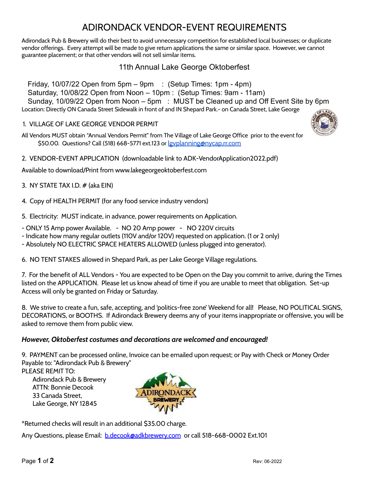## ADIRONDACK VENDOR-EVENT REQUIREMENTS

Adirondack Pub & Brewery will do their best to avoid unnecessary competition for established local businesses; or duplicate vendor offerings. Every attempt will be made to give return applications the same or similar space. However, we cannot guarantee placement; or that other vendors will not sell similar items.

## 11th Annual Lake George Oktoberfest

Friday, 10/07/22 Open from 5pm – 9pm : (Setup Times: 1pm - 4pm) Saturday, 10/08/22 Open from Noon – 10pm : (Setup Times: 9am - 11am) Sunday, 10/09/22 Open from Noon – 5pm : MUST be Cleaned up and Off Event Site by 6pm Location: Directly ON Canada Street Sidewalk in front of and IN Shepard Park.- on Canada Street, Lake George

#### 1. VILLAGE OF LAKE GEORGE VENDOR PERMIT

All Vendors MUST obtain "Annual Vendors Permit" from The Village of Lake George Office prior to the event for \$50.00. Questions? Call (518) 668-5771 ext.123 or *gyplanning@nycap.rr.com* 

2. VENDOR-EVENT APPLICATION (downloadable link to ADK-VendorApplication2022.pdf)

Available to download/Print from www.lakegeorgeoktoberfest.com

- 3. NY STATE TAX I.D. # (aka EIN)
- 4. Copy of HEALTH PERMIT (for any food service industry vendors)

5. Electricity: MUST indicate, in advance, power requirements on Application.

- ONLY 15 Amp power Available. NO 20 Amp power NO 220V circuits
- Indicate how many regular outlets (110V and/or 120V) requested on application. (1 or 2 only)
- Absolutely NO ELECTRIC SPACE HEATERS ALLOWED (unless plugged into generator).

6. NO TENT STAKES allowed in Shepard Park, as per Lake George Village regulations.

7. For the benefit of ALL Vendors - You are expected to be Open on the Day you commit to arrive, during the Times listed on the APPLICATION. Please let us know ahead of time if you are unable to meet that obligation. Set-up Access will only be granted on Friday or Saturday.

8. We strive to create a fun, safe, accepting, and 'politics-free zone' Weekend for all! Please, NO POLITICAL SIGNS, DECORATIONS, or BOOTHS. If Adirondack Brewery deems any of your items inappropriate or offensive, you will be asked to remove them from public view.

#### *However, Oktoberfest costumes and decorations are welcomed and encouraged!*

9. PAYMENT can be processed online, Invoice can be emailed upon request; or Pay with Check or Money Order Payable to: "Adirondack Pub & Brewery"

PLEASE REMIT TO: Adirondack Pub & Brewery ATTN: Bonnie Decook 33 Canada Street, Lake George, NY 12845



\*Returned checks will result in an additional \$35.00 charge.

Any Questions, please Email: [b.decook@adkbrewery.com](mailto:b.decook@adkbrewery.com) or call 518-668-0002 Ext.101